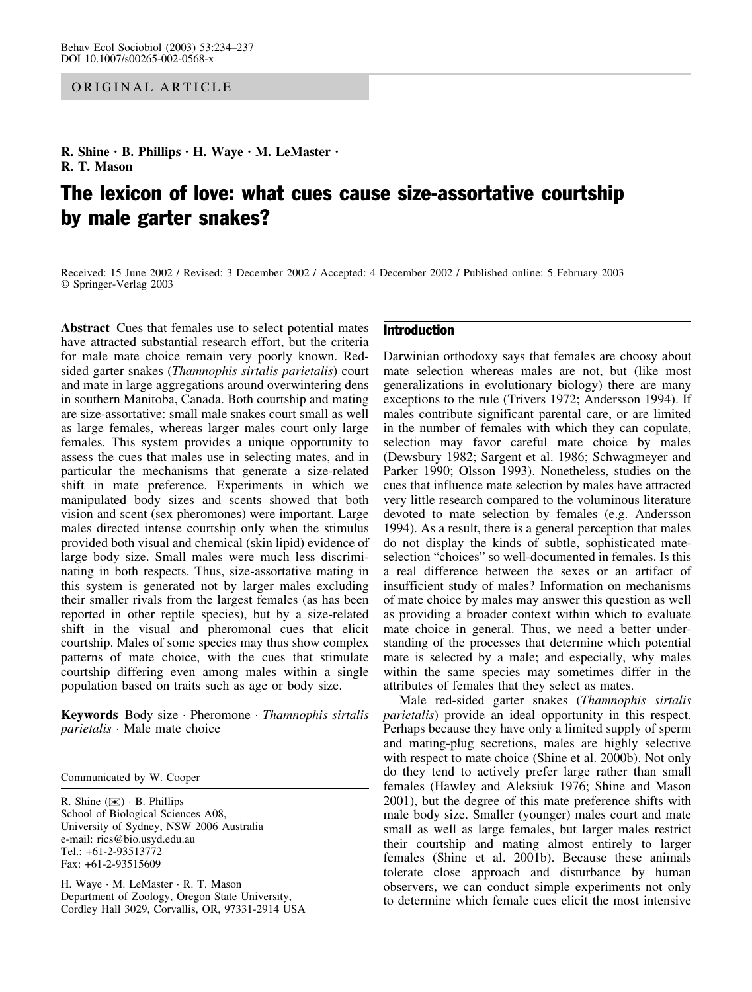# ORIGINAL ARTICLE

R. Shine · B. Phillips · H. Waye · M. LeMaster · R. T. Mason

# The lexicon of love: what cues cause size-assortative courtship by male garter snakes?

Received: 15 June 2002 / Revised: 3 December 2002 / Accepted: 4 December 2002 / Published online: 5 February 2003 Springer-Verlag 2003

Abstract Cues that females use to select potential mates have attracted substantial research effort, but the criteria for male mate choice remain very poorly known. Redsided garter snakes (Thamnophis sirtalis parietalis) court and mate in large aggregations around overwintering dens in southern Manitoba, Canada. Both courtship and mating are size-assortative: small male snakes court small as well as large females, whereas larger males court only large females. This system provides a unique opportunity to assess the cues that males use in selecting mates, and in particular the mechanisms that generate a size-related shift in mate preference. Experiments in which we manipulated body sizes and scents showed that both vision and scent (sex pheromones) were important. Large males directed intense courtship only when the stimulus provided both visual and chemical (skin lipid) evidence of large body size. Small males were much less discriminating in both respects. Thus, size-assortative mating in this system is generated not by larger males excluding their smaller rivals from the largest females (as has been reported in other reptile species), but by a size-related shift in the visual and pheromonal cues that elicit courtship. Males of some species may thus show complex patterns of mate choice, with the cues that stimulate courtship differing even among males within a single population based on traits such as age or body size.

Keywords Body size · Pheromone · Thamnophis sirtalis parietalis · Male mate choice

Communicated by W. Cooper

R. Shine  $(\mathbb{Z}) \cdot B$ . Phillips School of Biological Sciences A08, University of Sydney, NSW 2006 Australia e-mail: rics@bio.usyd.edu.au Tel.: +61-2-93513772 Fax: +61-2-93515609

H. Waye · M. LeMaster · R. T. Mason Department of Zoology, Oregon State University, Cordley Hall 3029, Corvallis, OR, 97331-2914 USA

# Introduction

Darwinian orthodoxy says that females are choosy about mate selection whereas males are not, but (like most generalizations in evolutionary biology) there are many exceptions to the rule (Trivers 1972; Andersson 1994). If males contribute significant parental care, or are limited in the number of females with which they can copulate, selection may favor careful mate choice by males (Dewsbury 1982; Sargent et al. 1986; Schwagmeyer and Parker 1990; Olsson 1993). Nonetheless, studies on the cues that influence mate selection by males have attracted very little research compared to the voluminous literature devoted to mate selection by females (e.g. Andersson 1994). As a result, there is a general perception that males do not display the kinds of subtle, sophisticated mateselection "choices" so well-documented in females. Is this a real difference between the sexes or an artifact of insufficient study of males? Information on mechanisms of mate choice by males may answer this question as well as providing a broader context within which to evaluate mate choice in general. Thus, we need a better understanding of the processes that determine which potential mate is selected by a male; and especially, why males within the same species may sometimes differ in the attributes of females that they select as mates.

Male red-sided garter snakes (Thamnophis sirtalis parietalis) provide an ideal opportunity in this respect. Perhaps because they have only a limited supply of sperm and mating-plug secretions, males are highly selective with respect to mate choice (Shine et al. 2000b). Not only do they tend to actively prefer large rather than small females (Hawley and Aleksiuk 1976; Shine and Mason 2001), but the degree of this mate preference shifts with male body size. Smaller (younger) males court and mate small as well as large females, but larger males restrict their courtship and mating almost entirely to larger females (Shine et al. 2001b). Because these animals tolerate close approach and disturbance by human observers, we can conduct simple experiments not only to determine which female cues elicit the most intensive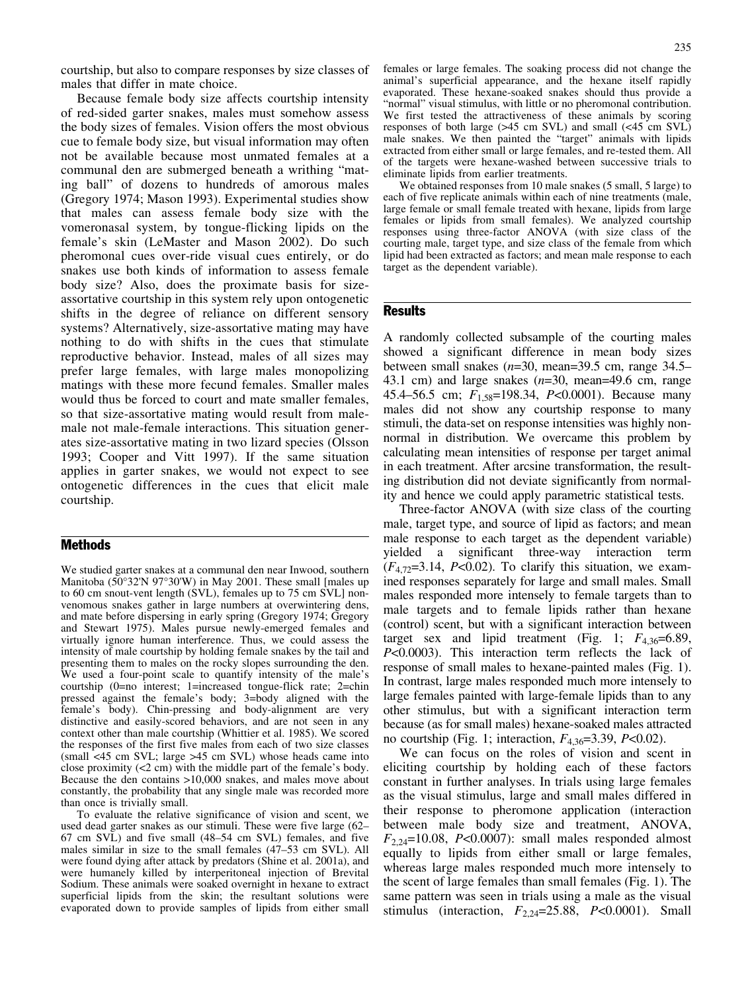courtship, but also to compare responses by size classes of males that differ in mate choice.

Because female body size affects courtship intensity of red-sided garter snakes, males must somehow assess the body sizes of females. Vision offers the most obvious cue to female body size, but visual information may often not be available because most unmated females at a communal den are submerged beneath a writhing "mating ball" of dozens to hundreds of amorous males (Gregory 1974; Mason 1993). Experimental studies show that males can assess female body size with the vomeronasal system, by tongue-flicking lipids on the female's skin (LeMaster and Mason 2002). Do such pheromonal cues over-ride visual cues entirely, or do snakes use both kinds of information to assess female body size? Also, does the proximate basis for sizeassortative courtship in this system rely upon ontogenetic shifts in the degree of reliance on different sensory systems? Alternatively, size-assortative mating may have nothing to do with shifts in the cues that stimulate reproductive behavior. Instead, males of all sizes may prefer large females, with large males monopolizing matings with these more fecund females. Smaller males would thus be forced to court and mate smaller females, so that size-assortative mating would result from malemale not male-female interactions. This situation generates size-assortative mating in two lizard species (Olsson 1993; Cooper and Vitt 1997). If the same situation applies in garter snakes, we would not expect to see ontogenetic differences in the cues that elicit male courtship.

#### Methods

We studied garter snakes at a communal den near Inwood, southern Manitoba (50°32'N 97°30'W) in May 2001. These small [males up to 60 cm snout-vent length (SVL), females up to 75 cm SVL] nonvenomous snakes gather in large numbers at overwintering dens, and mate before dispersing in early spring (Gregory 1974; Gregory and Stewart 1975). Males pursue newly-emerged females and virtually ignore human interference. Thus, we could assess the intensity of male courtship by holding female snakes by the tail and presenting them to males on the rocky slopes surrounding the den. We used a four-point scale to quantify intensity of the male's courtship (0=no interest; 1=increased tongue-flick rate; 2=chin pressed against the female's body; 3=body aligned with the female's body). Chin-pressing and body-alignment are very distinctive and easily-scored behaviors, and are not seen in any context other than male courtship (Whittier et al. 1985). We scored the responses of the first five males from each of two size classes (small <45 cm SVL; large >45 cm SVL) whose heads came into close proximity (<2 cm) with the middle part of the female's body. Because the den contains >10,000 snakes, and males move about constantly, the probability that any single male was recorded more than once is trivially small.

To evaluate the relative significance of vision and scent, we used dead garter snakes as our stimuli. These were five large (62– 67 cm SVL) and five small (48–54 cm SVL) females, and five males similar in size to the small females (47–53 cm SVL). All were found dying after attack by predators (Shine et al. 2001a), and were humanely killed by interperitoneal injection of Brevital Sodium. These animals were soaked overnight in hexane to extract superficial lipids from the skin; the resultant solutions were evaporated down to provide samples of lipids from either small

females or large females. The soaking process did not change the animal's superficial appearance, and the hexane itself rapidly evaporated. These hexane-soaked snakes should thus provide a "normal" visual stimulus, with little or no pheromonal contribution. We first tested the attractiveness of these animals by scoring responses of both large (>45 cm SVL) and small (<45 cm SVL) male snakes. We then painted the "target" animals with lipids extracted from either small or large females, and re-tested them. All of the targets were hexane-washed between successive trials to eliminate lipids from earlier treatments.

We obtained responses from 10 male snakes (5 small, 5 large) to each of five replicate animals within each of nine treatments (male, large female or small female treated with hexane, lipids from large females or lipids from small females). We analyzed courtship responses using three-factor ANOVA (with size class of the courting male, target type, and size class of the female from which lipid had been extracted as factors; and mean male response to each target as the dependent variable).

## **Results**

A randomly collected subsample of the courting males showed a significant difference in mean body sizes between small snakes  $(n=30, \text{ mean}=39.5 \text{ cm}, \text{ range } 34.5-$ 43.1 cm) and large snakes  $(n=30, \text{ mean}=49.6 \text{ cm}, \text{ range})$ 45.4–56.5 cm;  $F_{1,58}$ =198.34, P<0.0001). Because many males did not show any courtship response to many stimuli, the data-set on response intensities was highly nonnormal in distribution. We overcame this problem by calculating mean intensities of response per target animal in each treatment. After arcsine transformation, the resulting distribution did not deviate significantly from normality and hence we could apply parametric statistical tests.

Three-factor ANOVA (with size class of the courting male, target type, and source of lipid as factors; and mean male response to each target as the dependent variable) yielded a significant three-way interaction term  $(F_{4,72}=3.14, P<0.02)$ . To clarify this situation, we examined responses separately for large and small males. Small males responded more intensely to female targets than to male targets and to female lipids rather than hexane (control) scent, but with a significant interaction between target sex and lipid treatment (Fig. 1;  $F_{4,36} = 6.89$ , P<0.0003). This interaction term reflects the lack of response of small males to hexane-painted males (Fig. 1). In contrast, large males responded much more intensely to large females painted with large-female lipids than to any other stimulus, but with a significant interaction term because (as for small males) hexane-soaked males attracted no courtship (Fig. 1; interaction,  $F_{4,36}$ =3.39, P<0.02).

We can focus on the roles of vision and scent in eliciting courtship by holding each of these factors constant in further analyses. In trials using large females as the visual stimulus, large and small males differed in their response to pheromone application (interaction between male body size and treatment, ANOVA,  $F_{2,24}=10.08$ , P<0.0007): small males responded almost equally to lipids from either small or large females, whereas large males responded much more intensely to the scent of large females than small females (Fig. 1). The same pattern was seen in trials using a male as the visual stimulus (interaction,  $F_{2,24}=25.88$ ,  $P<0.0001$ ). Small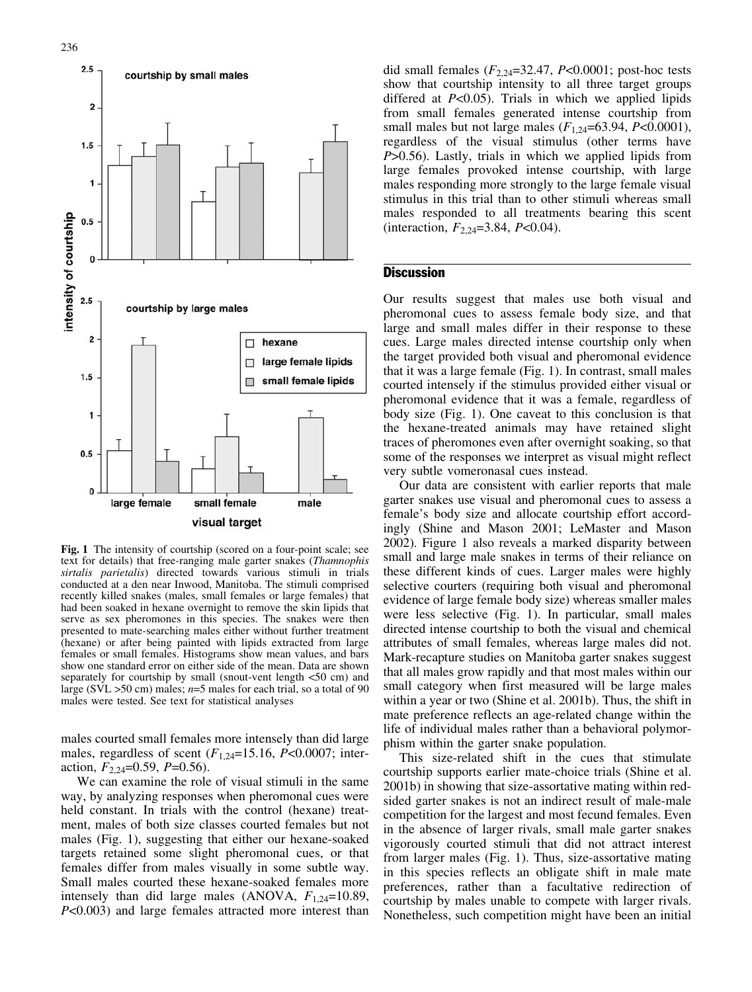

Fig. 1 The intensity of courtship (scored on a four-point scale; see text for details) that free-ranging male garter snakes (Thamnophis sirtalis parietalis) directed towards various stimuli in trials conducted at a den near Inwood, Manitoba. The stimuli comprised recently killed snakes (males, small females or large females) that had been soaked in hexane overnight to remove the skin lipids that serve as sex pheromones in this species. The snakes were then presented to mate-searching males either without further treatment (hexane) or after being painted with lipids extracted from large females or small females. Histograms show mean values, and bars show one standard error on either side of the mean. Data are shown separately for courtship by small (snout-vent length <50 cm) and large (SVL  $>50$  cm) males;  $n=5$  males for each trial, so a total of 90 males were tested. See text for statistical analyses

males courted small females more intensely than did large males, regardless of scent  $(F<sub>1,24</sub>=15.16, P<0.0007$ ; interaction,  $F_{2,24}=0.59$ ,  $P=0.56$ ).

We can examine the role of visual stimuli in the same way, by analyzing responses when pheromonal cues were held constant. In trials with the control (hexane) treatment, males of both size classes courted females but not males (Fig. 1), suggesting that either our hexane-soaked targets retained some slight pheromonal cues, or that females differ from males visually in some subtle way. Small males courted these hexane-soaked females more intensely than did large males (ANOVA,  $F_{1,24}=10.89$ , P<0.003) and large females attracted more interest than

did small females  $(F_{2,24}=32.47, P<0.0001;$  post-hoc tests show that courtship intensity to all three target groups differed at  $P<0.05$ . Trials in which we applied lipids from small females generated intense courtship from small males but not large males  $(F_{1,24} = 63.94, P < 0.0001)$ , regardless of the visual stimulus (other terms have P>0.56). Lastly, trials in which we applied lipids from large females provoked intense courtship, with large males responding more strongly to the large female visual stimulus in this trial than to other stimuli whereas small males responded to all treatments bearing this scent (interaction,  $F_{2,24}$ =3.84, P<0.04).

## **Discussion**

Our results suggest that males use both visual and pheromonal cues to assess female body size, and that large and small males differ in their response to these cues. Large males directed intense courtship only when the target provided both visual and pheromonal evidence that it was a large female (Fig. 1). In contrast, small males courted intensely if the stimulus provided either visual or pheromonal evidence that it was a female, regardless of body size (Fig. 1). One caveat to this conclusion is that the hexane-treated animals may have retained slight traces of pheromones even after overnight soaking, so that some of the responses we interpret as visual might reflect very subtle vomeronasal cues instead.

Our data are consistent with earlier reports that male garter snakes use visual and pheromonal cues to assess a female's body size and allocate courtship effort accordingly (Shine and Mason 2001; LeMaster and Mason 2002). Figure 1 also reveals a marked disparity between small and large male snakes in terms of their reliance on these different kinds of cues. Larger males were highly selective courters (requiring both visual and pheromonal evidence of large female body size) whereas smaller males were less selective (Fig. 1). In particular, small males directed intense courtship to both the visual and chemical attributes of small females, whereas large males did not. Mark-recapture studies on Manitoba garter snakes suggest that all males grow rapidly and that most males within our small category when first measured will be large males within a year or two (Shine et al. 2001b). Thus, the shift in mate preference reflects an age-related change within the life of individual males rather than a behavioral polymorphism within the garter snake population.

This size-related shift in the cues that stimulate courtship supports earlier mate-choice trials (Shine et al. 2001b) in showing that size-assortative mating within redsided garter snakes is not an indirect result of male-male competition for the largest and most fecund females. Even in the absence of larger rivals, small male garter snakes vigorously courted stimuli that did not attract interest from larger males (Fig. 1). Thus, size-assortative mating in this species reflects an obligate shift in male mate preferences, rather than a facultative redirection of courtship by males unable to compete with larger rivals. Nonetheless, such competition might have been an initial